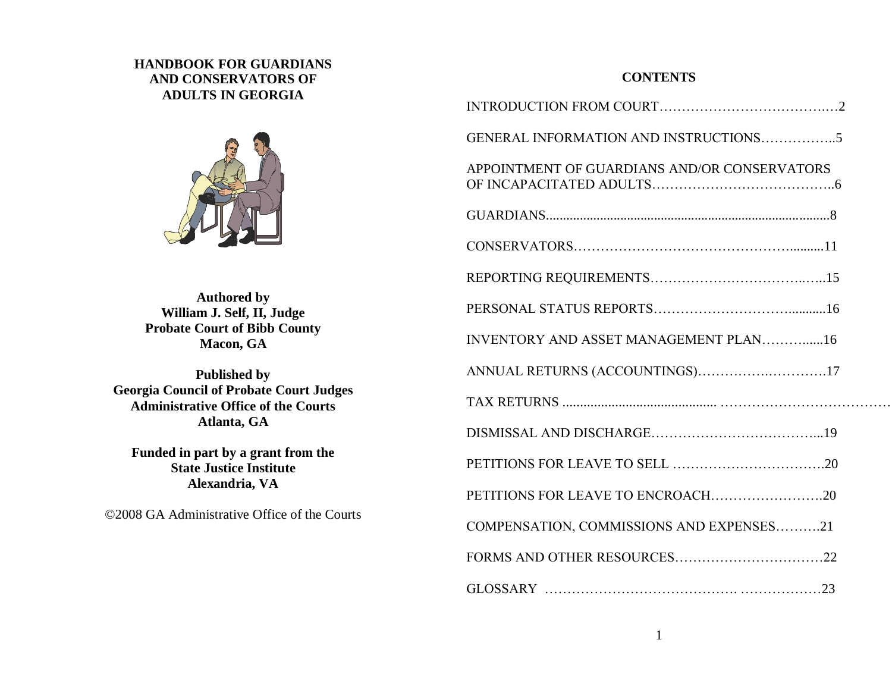### **HANDBOOK FOR GUARDIANS AND CONSERVATORS OF ADULTS IN GEORGIA**



**Authored by William J. Self, II, Judge Probate Court of Bibb County Macon, GA**

**Published by Georgia Council of Probate Court Judges Administrative Office of the Courts Atlanta, GA**

**Funded in part by a grant from the State Justice Institute Alexandria, VA**

©2008 GA Administrative Office of the Courts

# **CONTENTS**

| APPOINTMENT OF GUARDIANS AND/OR CONSERVATORS |
|----------------------------------------------|
|                                              |
|                                              |
|                                              |
|                                              |
| <b>INVENTORY AND ASSET MANAGEMENT PLAN16</b> |
| ANNUAL RETURNS (ACCOUNTINGS)17               |
|                                              |
|                                              |
|                                              |
|                                              |
| COMPENSATION, COMMISSIONS AND EXPENSES21     |
|                                              |
|                                              |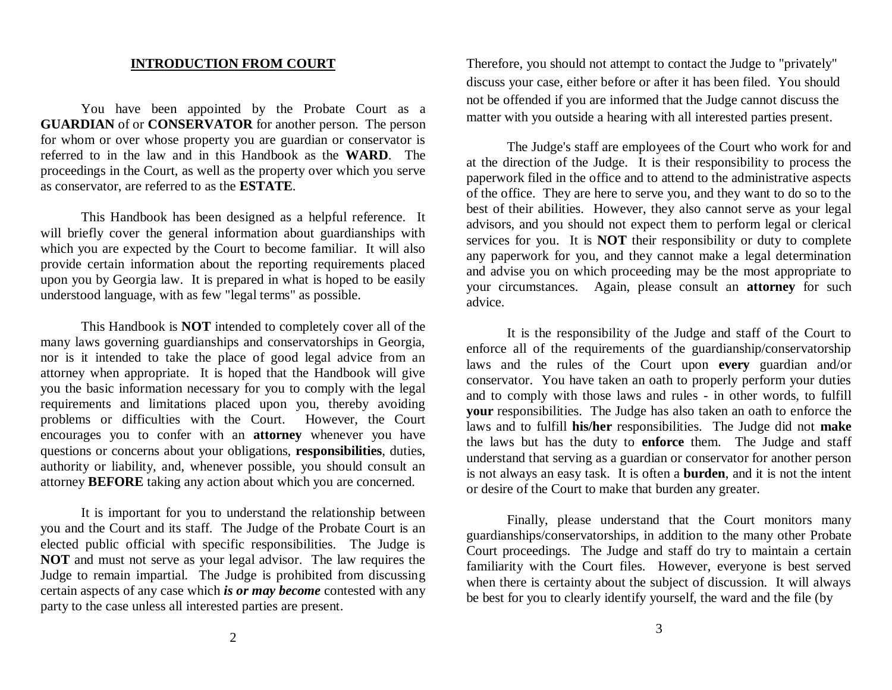### **INTRODUCTION FROM COURT**

You have been appointed by the Probate Court as a **GUARDIAN** of or **CONSERVATOR** for another person. The person for whom or over whose property you are guardian or conservator is referred to in the law and in this Handbook as the **WARD**. The proceedings in the Court, as well as the property over which you serve as conservator, are referred to as the **ESTATE**.

This Handbook has been designed as a helpful reference. It will briefly cover the general information about guardianships with which you are expected by the Court to become familiar. It will also provide certain information about the reporting requirements placed upon you by Georgia law. It is prepared in what is hoped to be easily understood language, with as few "legal terms" as possible.

This Handbook is **NOT** intended to completely cover all of the many laws governing guardianships and conservatorships in Georgia, nor is it intended to take the place of good legal advice from an attorney when appropriate. It is hoped that the Handbook will give you the basic information necessary for you to comply with the legal requirements and limitations placed upon you, thereby avoiding problems or difficulties with the Court. However, the Court encourages you to confer with an **attorney** whenever you have questions or concerns about your obligations, **responsibilities**, duties, authority or liability, and, whenever possible, you should consult an attorney **BEFORE** taking any action about which you are concerned.

It is important for you to understand the relationship between you and the Court and its staff. The Judge of the Probate Court is an elected public official with specific responsibilities. The Judge is **NOT** and must not serve as your legal advisor. The law requires the Judge to remain impartial. The Judge is prohibited from discussing certain aspects of any case which *is or may become* contested with any party to the case unless all interested parties are present.

Therefore, you should not attempt to contact the Judge to "privately" discuss your case, either before or after it has been filed. You should not be offended if you are informed that the Judge cannot discuss the matter with you outside a hearing with all interested parties present.

The Judge's staff are employees of the Court who work for and at the direction of the Judge. It is their responsibility to process the paperwork filed in the office and to attend to the administrative aspects of the office. They are here to serve you, and they want to do so to the best of their abilities. However, they also cannot serve as your legal advisors, and you should not expect them to perform legal or clerical services for you. It is **NOT** their responsibility or duty to complete any paperwork for you, and they cannot make a legal determination and advise you on which proceeding may be the most appropriate to your circumstances. Again, please consult an **attorney** for such advice.

It is the responsibility of the Judge and staff of the Court to enforce all of the requirements of the guardianship/conservatorship laws and the rules of the Court upon **every** guardian and/or conservator. You have taken an oath to properly perform your duties and to comply with those laws and rules - in other words, to fulfill **your** responsibilities. The Judge has also taken an oath to enforce the laws and to fulfill **his/her** responsibilities. The Judge did not **make**  the laws but has the duty to **enforce** them. The Judge and staff understand that serving as a guardian or conservator for another person is not always an easy task. It is often a **burden**, and it is not the intent or desire of the Court to make that burden any greater.

Finally, please understand that the Court monitors many guardianships/conservatorships, in addition to the many other Probate Court proceedings. The Judge and staff do try to maintain a certain familiarity with the Court files. However, everyone is best served when there is certainty about the subject of discussion. It will always be best for you to clearly identify yourself, the ward and the file (by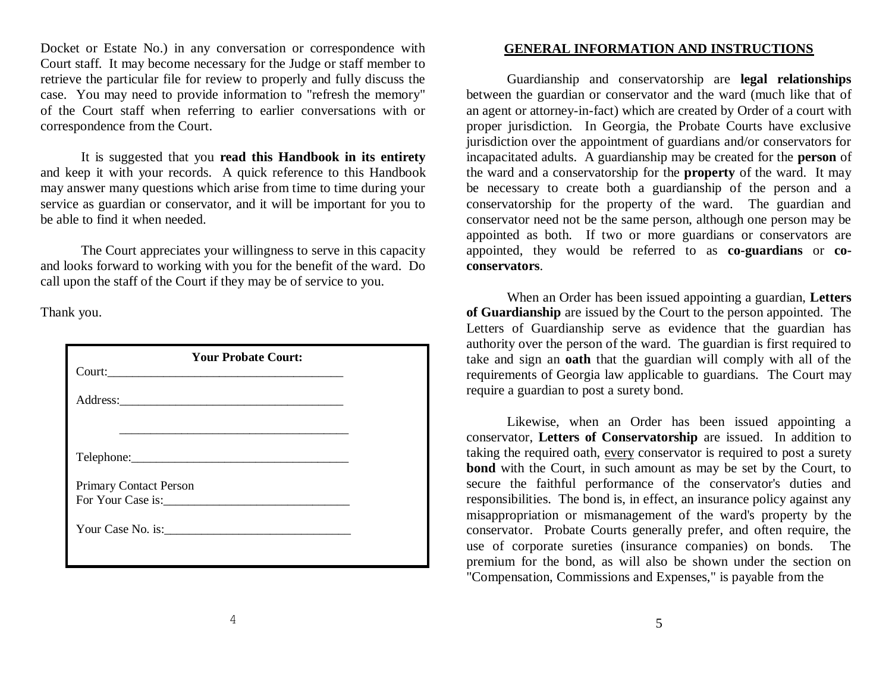Docket or Estate No.) in any conversation or correspondence with Court staff. It may become necessary for the Judge or staff member to retrieve the particular file for review to properly and fully discuss the case. You may need to provide information to "refresh the memory" of the Court staff when referring to earlier conversations with or correspondence from the Court.

It is suggested that you **read this Handbook in its entirety** and keep it with your records. A quick reference to this Handbook may answer many questions which arise from time to time during your service as guardian or conservator, and it will be important for you to be able to find it when needed.

The Court appreciates your willingness to serve in this capacity and looks forward to working with you for the benefit of the ward. Do call upon the staff of the Court if they may be of service to you.

Thank you.

| <b>Your Probate Court:</b>    |  |
|-------------------------------|--|
|                               |  |
|                               |  |
|                               |  |
| <b>Primary Contact Person</b> |  |
|                               |  |
|                               |  |

#### **GENERAL INFORMATION AND INSTRUCTIONS**

Guardianship and conservatorship are **legal relationships** between the guardian or conservator and the ward (much like that of an agent or attorney-in-fact) which are created by Order of a court with proper jurisdiction. In Georgia, the Probate Courts have exclusive jurisdiction over the appointment of guardians and/or conservators for incapacitated adults. A guardianship may be created for the **person** of the ward and a conservatorship for the **property** of the ward. It may be necessary to create both a guardianship of the person and a conservatorship for the property of the ward. The guardian and conservator need not be the same person, although one person may be appointed as both. If two or more guardians or conservators are appointed, they would be referred to as **co-guardians** or **coconservators**.

When an Order has been issued appointing a guardian, **Letters of Guardianship** are issued by the Court to the person appointed. The Letters of Guardianship serve as evidence that the guardian has authority over the person of the ward. The guardian is first required to take and sign an **oath** that the guardian will comply with all of the requirements of Georgia law applicable to guardians. The Court may require a guardian to post a surety bond.

Likewise, when an Order has been issued appointing a conservator, **Letters of Conservatorship** are issued. In addition to taking the required oath, every conservator is required to post a surety **bond** with the Court, in such amount as may be set by the Court, to secure the faithful performance of the conservator's duties and responsibilities. The bond is, in effect, an insurance policy against any misappropriation or mismanagement of the ward's property by the conservator. Probate Courts generally prefer, and often require, the use of corporate sureties (insurance companies) on bonds. The premium for the bond, as will also be shown under the section on "Compensation, Commissions and Expenses," is payable from the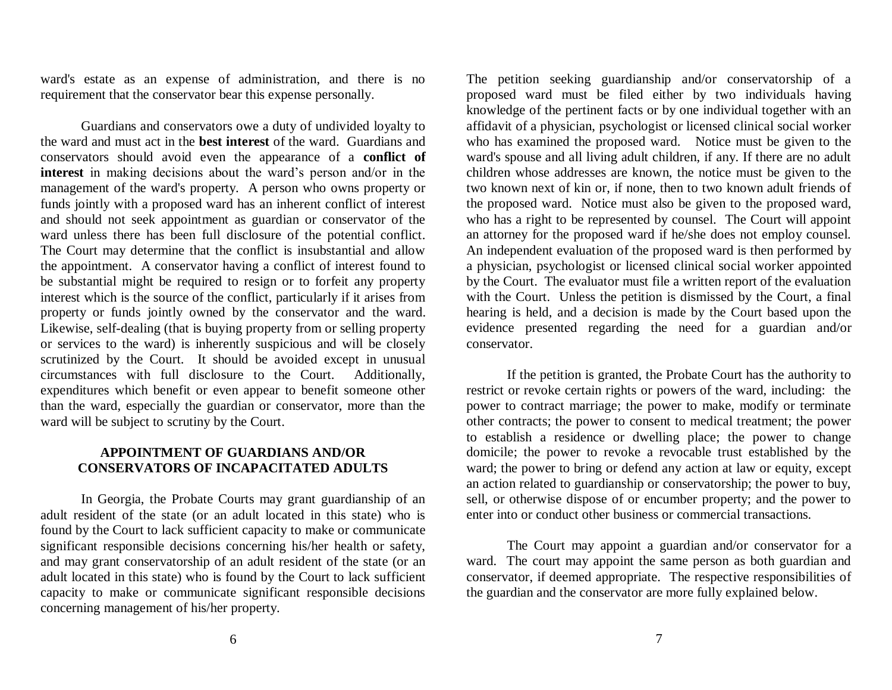ward's estate as an expense of administration, and there is no requirement that the conservator bear this expense personally.

Guardians and conservators owe a duty of undivided loyalty to the ward and must act in the **best interest** of the ward. Guardians and conservators should avoid even the appearance of a **conflict of interest** in making decisions about the ward's person and/or in the management of the ward's property. A person who owns property or funds jointly with a proposed ward has an inherent conflict of interest and should not seek appointment as guardian or conservator of the ward unless there has been full disclosure of the potential conflict. The Court may determine that the conflict is insubstantial and allow the appointment. A conservator having a conflict of interest found to be substantial might be required to resign or to forfeit any property interest which is the source of the conflict, particularly if it arises from property or funds jointly owned by the conservator and the ward. Likewise, self-dealing (that is buying property from or selling property or services to the ward) is inherently suspicious and will be closely scrutinized by the Court. It should be avoided except in unusual circumstances with full disclosure to the Court. Additionally, expenditures which benefit or even appear to benefit someone other than the ward, especially the guardian or conservator, more than the ward will be subject to scrutiny by the Court.

### **APPOINTMENT OF GUARDIANS AND/OR CONSERVATORS OF INCAPACITATED ADULTS**

In Georgia, the Probate Courts may grant guardianship of an adult resident of the state (or an adult located in this state) who is found by the Court to lack sufficient capacity to make or communicate significant responsible decisions concerning his/her health or safety, and may grant conservatorship of an adult resident of the state (or an adult located in this state) who is found by the Court to lack sufficient capacity to make or communicate significant responsible decisions concerning management of his/her property.

The petition seeking guardianship and/or conservatorship of a proposed ward must be filed either by two individuals having knowledge of the pertinent facts or by one individual together with an affidavit of a physician, psychologist or licensed clinical social worker who has examined the proposed ward. Notice must be given to the ward's spouse and all living adult children, if any. If there are no adult children whose addresses are known, the notice must be given to the two known next of kin or, if none, then to two known adult friends of the proposed ward. Notice must also be given to the proposed ward, who has a right to be represented by counsel. The Court will appoint an attorney for the proposed ward if he/she does not employ counsel. An independent evaluation of the proposed ward is then performed by a physician, psychologist or licensed clinical social worker appointed by the Court. The evaluator must file a written report of the evaluation with the Court. Unless the petition is dismissed by the Court, a final hearing is held, and a decision is made by the Court based upon the evidence presented regarding the need for a guardian and/or conservator.

If the petition is granted, the Probate Court has the authority to restrict or revoke certain rights or powers of the ward, including: the power to contract marriage; the power to make, modify or terminate other contracts; the power to consent to medical treatment; the power to establish a residence or dwelling place; the power to change domicile; the power to revoke a revocable trust established by the ward; the power to bring or defend any action at law or equity, except an action related to guardianship or conservatorship; the power to buy, sell, or otherwise dispose of or encumber property; and the power to enter into or conduct other business or commercial transactions.

The Court may appoint a guardian and/or conservator for a ward. The court may appoint the same person as both guardian and conservator, if deemed appropriate. The respective responsibilities of the guardian and the conservator are more fully explained below.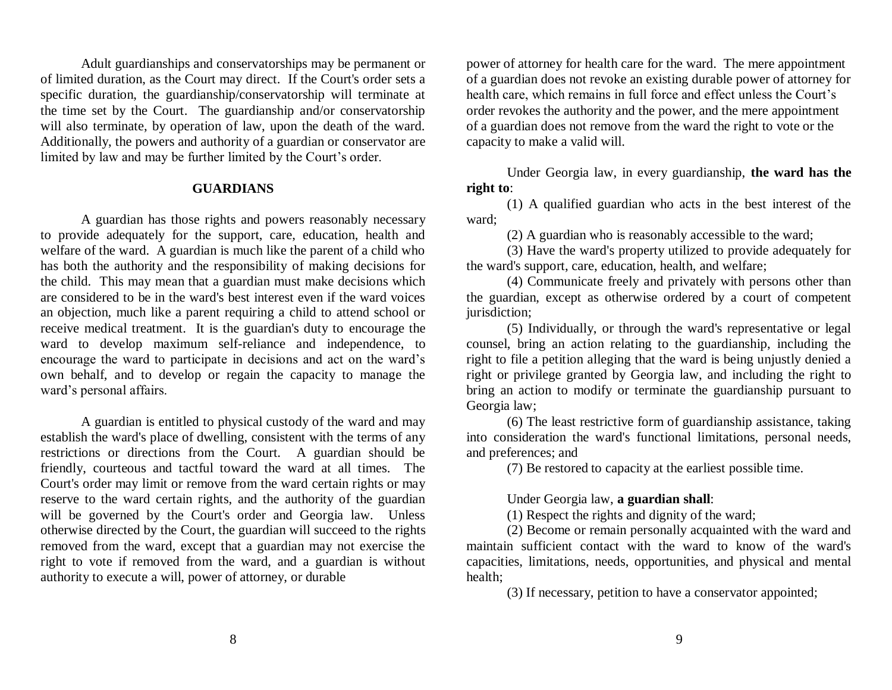Adult guardianships and conservatorships may be permanent or of limited duration, as the Court may direct. If the Court's order sets a specific duration, the guardianship/conservatorship will terminate at the time set by the Court. The guardianship and/or conservatorship will also terminate, by operation of law, upon the death of the ward. Additionally, the powers and authority of a guardian or conservator are limited by law and may be further limited by the Court's order.

#### **GUARDIANS**

A guardian has those rights and powers reasonably necessary to provide adequately for the support, care, education, health and welfare of the ward. A guardian is much like the parent of a child who has both the authority and the responsibility of making decisions for the child. This may mean that a guardian must make decisions which are considered to be in the ward's best interest even if the ward voices an objection, much like a parent requiring a child to attend school or receive medical treatment. It is the guardian's duty to encourage the ward to develop maximum self-reliance and independence, to encourage the ward to participate in decisions and act on the ward's own behalf, and to develop or regain the capacity to manage the ward's personal affairs.

A guardian is entitled to physical custody of the ward and may establish the ward's place of dwelling, consistent with the terms of any restrictions or directions from the Court. A guardian should be friendly, courteous and tactful toward the ward at all times. The Court's order may limit or remove from the ward certain rights or may reserve to the ward certain rights, and the authority of the guardian will be governed by the Court's order and Georgia law. Unless otherwise directed by the Court, the guardian will succeed to the rights removed from the ward, except that a guardian may not exercise the right to vote if removed from the ward, and a guardian is without authority to execute a will, power of attorney, or durable

power of attorney for health care for the ward. The mere appointment of a guardian does not revoke an existing durable power of attorney for health care, which remains in full force and effect unless the Court's order revokes the authority and the power, and the mere appointment of a guardian does not remove from the ward the right to vote or the capacity to make a valid will.

Under Georgia law, in every guardianship, **the ward has the right to**:

(1) A qualified guardian who acts in the best interest of the ward;

(2) A guardian who is reasonably accessible to the ward;

(3) Have the ward's property utilized to provide adequately for the ward's support, care, education, health, and welfare;

(4) Communicate freely and privately with persons other than the guardian, except as otherwise ordered by a court of competent jurisdiction;

(5) Individually, or through the ward's representative or legal counsel, bring an action relating to the guardianship, including the right to file a petition alleging that the ward is being unjustly denied a right or privilege granted by Georgia law, and including the right to bring an action to modify or terminate the guardianship pursuant to Georgia law;

(6) The least restrictive form of guardianship assistance, taking into consideration the ward's functional limitations, personal needs, and preferences; and

(7) Be restored to capacity at the earliest possible time.

Under Georgia law, **a guardian shall**:

(1) Respect the rights and dignity of the ward;

(2) Become or remain personally acquainted with the ward and maintain sufficient contact with the ward to know of the ward's capacities, limitations, needs, opportunities, and physical and mental health;

(3) If necessary, petition to have a conservator appointed;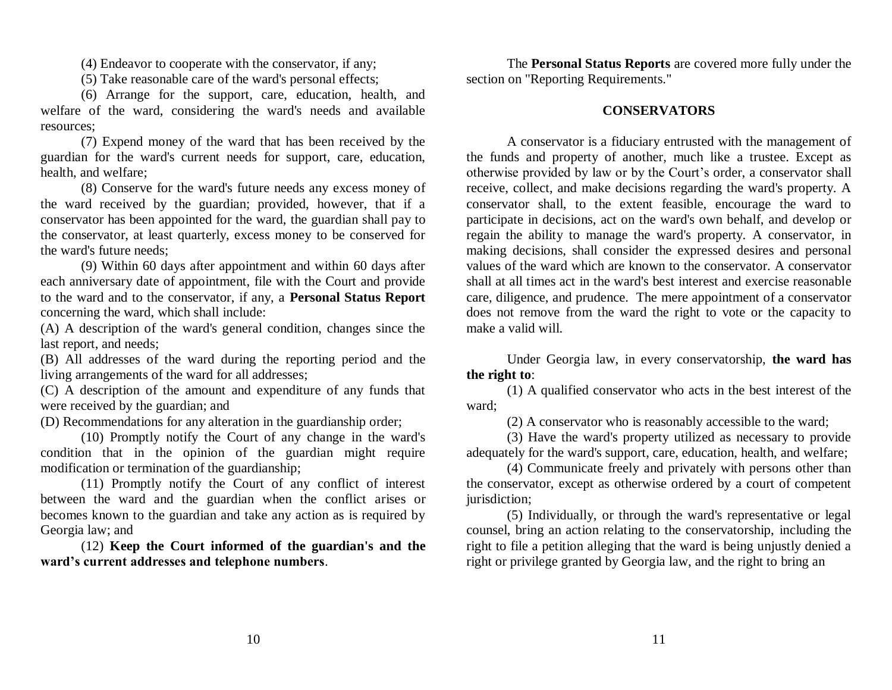(4) Endeavor to cooperate with the conservator, if any;

(5) Take reasonable care of the ward's personal effects;

(6) Arrange for the support, care, education, health, and welfare of the ward, considering the ward's needs and available resources;

(7) Expend money of the ward that has been received by the guardian for the ward's current needs for support, care, education, health, and welfare;

(8) Conserve for the ward's future needs any excess money of the ward received by the guardian; provided, however, that if a conservator has been appointed for the ward, the guardian shall pay to the conservator, at least quarterly, excess money to be conserved for the ward's future needs;

(9) Within 60 days after appointment and within 60 days after each anniversary date of appointment, file with the Court and provide to the ward and to the conservator, if any, a **Personal Status Report** concerning the ward, which shall include:

(A) A description of the ward's general condition, changes since the last report, and needs;

(B) All addresses of the ward during the reporting period and the living arrangements of the ward for all addresses;

(C) A description of the amount and expenditure of any funds that were received by the guardian; and

(D) Recommendations for any alteration in the guardianship order;

(10) Promptly notify the Court of any change in the ward's condition that in the opinion of the guardian might require modification or termination of the guardianship;

(11) Promptly notify the Court of any conflict of interest between the ward and the guardian when the conflict arises or becomes known to the guardian and take any action as is required by Georgia law; and

(12) **Keep the Court informed of the guardian's and the ward's current addresses and telephone numbers**.

The **Personal Status Reports** are covered more fully under the section on "Reporting Requirements."

### **CONSERVATORS**

A conservator is a fiduciary entrusted with the management of the funds and property of another, much like a trustee. Except as otherwise provided by law or by the Court's order, a conservator shall receive, collect, and make decisions regarding the ward's property. A conservator shall, to the extent feasible, encourage the ward to participate in decisions, act on the ward's own behalf, and develop or regain the ability to manage the ward's property. A conservator, in making decisions, shall consider the expressed desires and personal values of the ward which are known to the conservator. A conservator shall at all times act in the ward's best interest and exercise reasonable care, diligence, and prudence. The mere appointment of a conservator does not remove from the ward the right to vote or the capacity to make a valid will.

Under Georgia law, in every conservatorship, **the ward has the right to**:

(1) A qualified conservator who acts in the best interest of the ward;

(2) A conservator who is reasonably accessible to the ward;

(3) Have the ward's property utilized as necessary to provide adequately for the ward's support, care, education, health, and welfare;

(4) Communicate freely and privately with persons other than the conservator, except as otherwise ordered by a court of competent jurisdiction;

(5) Individually, or through the ward's representative or legal counsel, bring an action relating to the conservatorship, including the right to file a petition alleging that the ward is being unjustly denied a right or privilege granted by Georgia law, and the right to bring an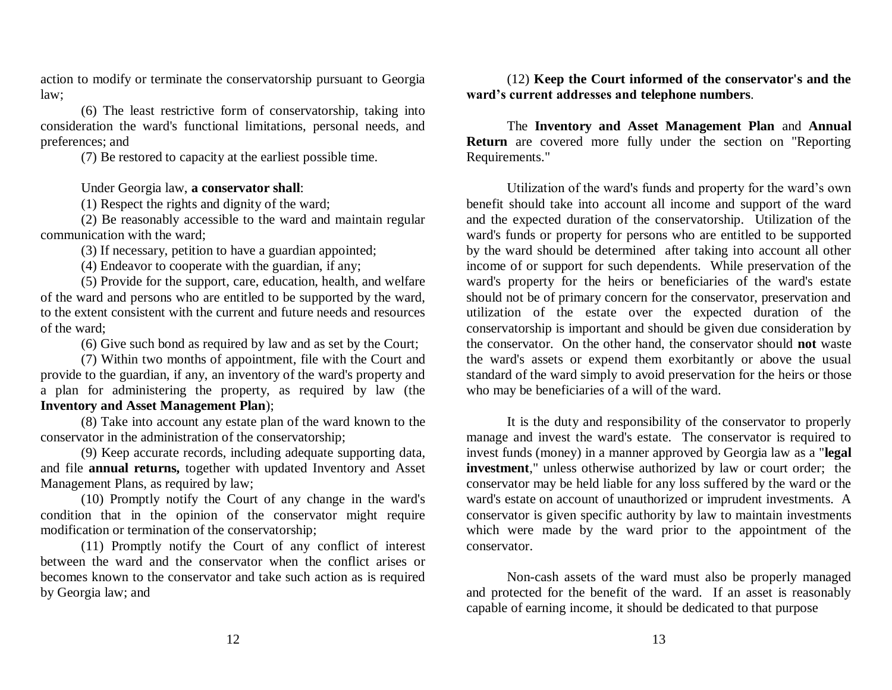action to modify or terminate the conservatorship pursuant to Georgia law;

(6) The least restrictive form of conservatorship, taking into consideration the ward's functional limitations, personal needs, and preferences; and

(7) Be restored to capacity at the earliest possible time.

#### Under Georgia law, **a conservator shall**:

(1) Respect the rights and dignity of the ward;

(2) Be reasonably accessible to the ward and maintain regular communication with the ward;

(3) If necessary, petition to have a guardian appointed;

(4) Endeavor to cooperate with the guardian, if any;

(5) Provide for the support, care, education, health, and welfare of the ward and persons who are entitled to be supported by the ward, to the extent consistent with the current and future needs and resources of the ward;

(6) Give such bond as required by law and as set by the Court;

(7) Within two months of appointment, file with the Court and provide to the guardian, if any, an inventory of the ward's property and a plan for administering the property, as required by law (the **Inventory and Asset Management Plan**);

(8) Take into account any estate plan of the ward known to the conservator in the administration of the conservatorship;

(9) Keep accurate records, including adequate supporting data, and file **annual returns,** together with updated Inventory and Asset Management Plans, as required by law;

(10) Promptly notify the Court of any change in the ward's condition that in the opinion of the conservator might require modification or termination of the conservatorship;

(11) Promptly notify the Court of any conflict of interest between the ward and the conservator when the conflict arises or becomes known to the conservator and take such action as is required by Georgia law; and

### (12) **Keep the Court informed of the conservator's and the ward's current addresses and telephone numbers**.

The **Inventory and Asset Management Plan** and **Annual Return** are covered more fully under the section on "Reporting Requirements."

Utilization of the ward's funds and property for the ward's own benefit should take into account all income and support of the ward and the expected duration of the conservatorship. Utilization of the ward's funds or property for persons who are entitled to be supported by the ward should be determined after taking into account all other income of or support for such dependents. While preservation of the ward's property for the heirs or beneficiaries of the ward's estate should not be of primary concern for the conservator, preservation and utilization of the estate over the expected duration of the conservatorship is important and should be given due consideration by the conservator. On the other hand, the conservator should **not** waste the ward's assets or expend them exorbitantly or above the usual standard of the ward simply to avoid preservation for the heirs or those who may be beneficiaries of a will of the ward.

It is the duty and responsibility of the conservator to properly manage and invest the ward's estate. The conservator is required to invest funds (money) in a manner approved by Georgia law as a "**legal investment**," unless otherwise authorized by law or court order; the conservator may be held liable for any loss suffered by the ward or the ward's estate on account of unauthorized or imprudent investments. A conservator is given specific authority by law to maintain investments which were made by the ward prior to the appointment of the conservator.

Non-cash assets of the ward must also be properly managed and protected for the benefit of the ward. If an asset is reasonably capable of earning income, it should be dedicated to that purpose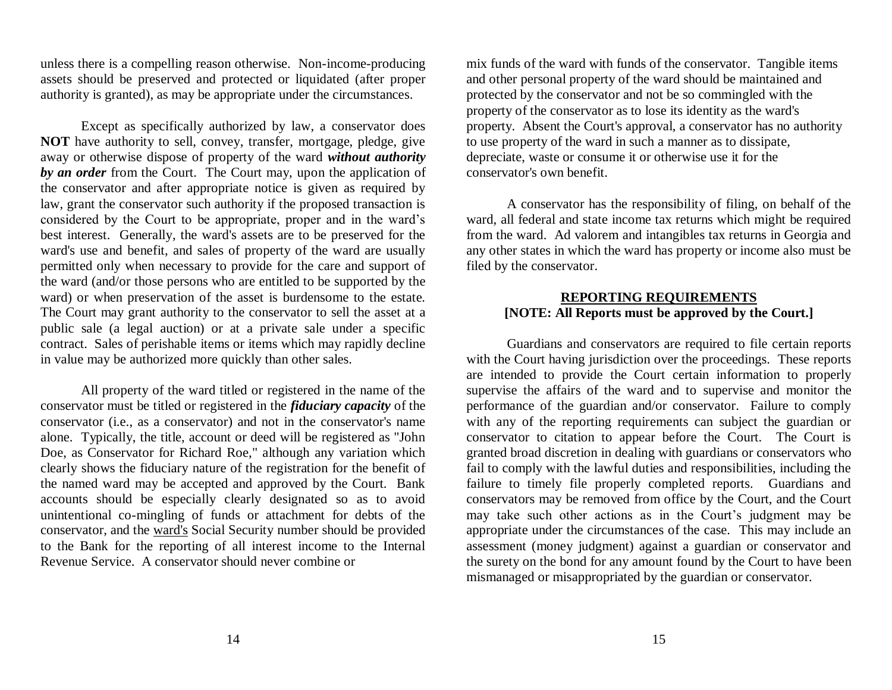unless there is a compelling reason otherwise. Non-income-producing assets should be preserved and protected or liquidated (after proper authority is granted), as may be appropriate under the circumstances.

Except as specifically authorized by law, a conservator does **NOT** have authority to sell, convey, transfer, mortgage, pledge, give away or otherwise dispose of property of the ward *without authority by an order* from the Court. The Court may, upon the application of the conservator and after appropriate notice is given as required by law, grant the conservator such authority if the proposed transaction is considered by the Court to be appropriate, proper and in the ward's best interest. Generally, the ward's assets are to be preserved for the ward's use and benefit, and sales of property of the ward are usually permitted only when necessary to provide for the care and support of the ward (and/or those persons who are entitled to be supported by the ward) or when preservation of the asset is burdensome to the estate. The Court may grant authority to the conservator to sell the asset at a public sale (a legal auction) or at a private sale under a specific contract. Sales of perishable items or items which may rapidly decline in value may be authorized more quickly than other sales.

All property of the ward titled or registered in the name of the conservator must be titled or registered in the *fiduciary capacity* of the conservator (i.e., as a conservator) and not in the conservator's name alone. Typically, the title, account or deed will be registered as "John Doe, as Conservator for Richard Roe," although any variation which clearly shows the fiduciary nature of the registration for the benefit of the named ward may be accepted and approved by the Court. Bank accounts should be especially clearly designated so as to avoid unintentional co-mingling of funds or attachment for debts of the conservator, and the ward's Social Security number should be provided to the Bank for the reporting of all interest income to the Internal Revenue Service. A conservator should never combine or

mix funds of the ward with funds of the conservator. Tangible items and other personal property of the ward should be maintained and protected by the conservator and not be so commingled with the property of the conservator as to lose its identity as the ward's property. Absent the Court's approval, a conservator has no authority to use property of the ward in such a manner as to dissipate, depreciate, waste or consume it or otherwise use it for the conservator's own benefit.

A conservator has the responsibility of filing, on behalf of the ward, all federal and state income tax returns which might be required from the ward. Ad valorem and intangibles tax returns in Georgia and any other states in which the ward has property or income also must be filed by the conservator.

### **REPORTING REQUIREMENTS [NOTE: All Reports must be approved by the Court.]**

Guardians and conservators are required to file certain reports with the Court having jurisdiction over the proceedings. These reports are intended to provide the Court certain information to properly supervise the affairs of the ward and to supervise and monitor the performance of the guardian and/or conservator. Failure to comply with any of the reporting requirements can subject the guardian or conservator to citation to appear before the Court. The Court is granted broad discretion in dealing with guardians or conservators who fail to comply with the lawful duties and responsibilities, including the failure to timely file properly completed reports. Guardians and conservators may be removed from office by the Court, and the Court may take such other actions as in the Court's judgment may be appropriate under the circumstances of the case. This may include an assessment (money judgment) against a guardian or conservator and the surety on the bond for any amount found by the Court to have been mismanaged or misappropriated by the guardian or conservator.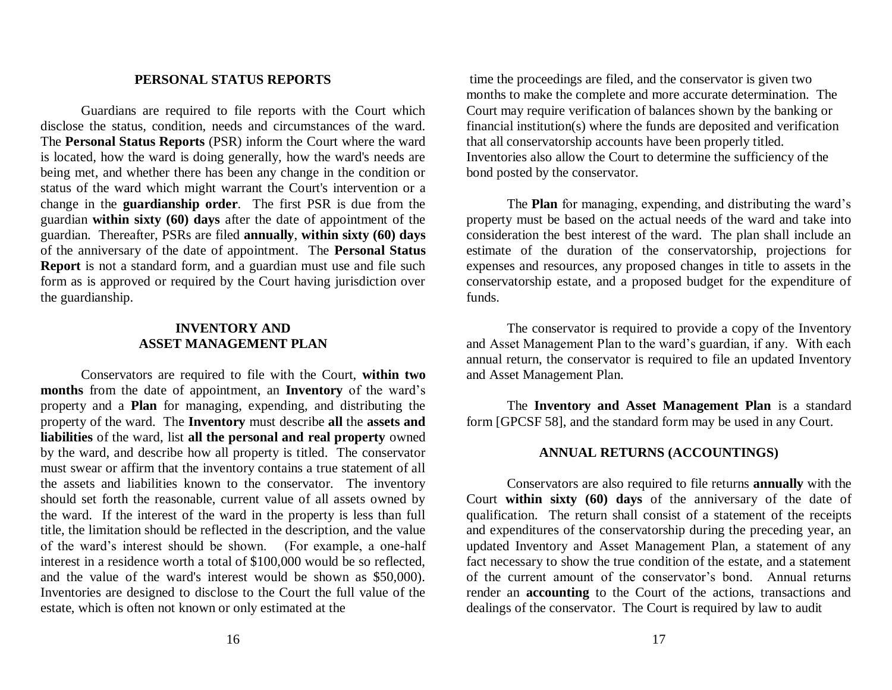#### **PERSONAL STATUS REPORTS**

Guardians are required to file reports with the Court which disclose the status, condition, needs and circumstances of the ward. The **Personal Status Reports** (PSR) inform the Court where the ward is located, how the ward is doing generally, how the ward's needs are being met, and whether there has been any change in the condition or status of the ward which might warrant the Court's intervention or a change in the **guardianship order**. The first PSR is due from the guardian **within sixty (60) days** after the date of appointment of the guardian. Thereafter, PSRs are filed **annually**, **within sixty (60) days** of the anniversary of the date of appointment. The **Personal Status Report** is not a standard form, and a guardian must use and file such form as is approved or required by the Court having jurisdiction over the guardianship.

### **INVENTORY AND ASSET MANAGEMENT PLAN**

Conservators are required to file with the Court, **within two months** from the date of appointment, an **Inventory** of the ward's property and a **Plan** for managing, expending, and distributing the property of the ward. The **Inventory** must describe **all** the **assets and liabilities** of the ward, list **all the personal and real property** owned by the ward, and describe how all property is titled. The conservator must swear or affirm that the inventory contains a true statement of all the assets and liabilities known to the conservator. The inventory should set forth the reasonable, current value of all assets owned by the ward. If the interest of the ward in the property is less than full title, the limitation should be reflected in the description, and the value of the ward's interest should be shown. (For example, a one-half interest in a residence worth a total of \$100,000 would be so reflected, and the value of the ward's interest would be shown as \$50,000). Inventories are designed to disclose to the Court the full value of the estate, which is often not known or only estimated at the

time the proceedings are filed, and the conservator is given two months to make the complete and more accurate determination. The Court may require verification of balances shown by the banking or financial institution(s) where the funds are deposited and verification that all conservatorship accounts have been properly titled. Inventories also allow the Court to determine the sufficiency of the bond posted by the conservator.

The **Plan** for managing, expending, and distributing the ward's property must be based on the actual needs of the ward and take into consideration the best interest of the ward. The plan shall include an estimate of the duration of the conservatorship, projections for expenses and resources, any proposed changes in title to assets in the conservatorship estate, and a proposed budget for the expenditure of funds.

The conservator is required to provide a copy of the Inventory and Asset Management Plan to the ward's guardian, if any. With each annual return, the conservator is required to file an updated Inventory and Asset Management Plan.

The **Inventory and Asset Management Plan** is a standard form [GPCSF 58], and the standard form may be used in any Court.

#### **ANNUAL RETURNS (ACCOUNTINGS)**

Conservators are also required to file returns **annually** with the Court **within sixty (60) days** of the anniversary of the date of qualification. The return shall consist of a statement of the receipts and expenditures of the conservatorship during the preceding year, an updated Inventory and Asset Management Plan, a statement of any fact necessary to show the true condition of the estate, and a statement of the current amount of the conservator's bond. Annual returns render an **accounting** to the Court of the actions, transactions and dealings of the conservator. The Court is required by law to audit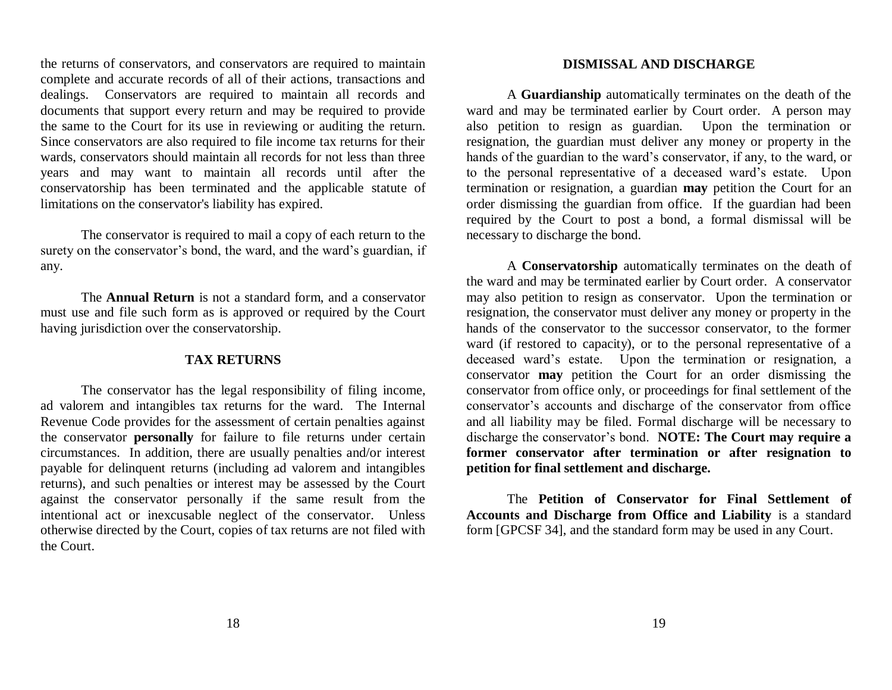the returns of conservators, and conservators are required to maintain complete and accurate records of all of their actions, transactions and dealings. Conservators are required to maintain all records and documents that support every return and may be required to provide the same to the Court for its use in reviewing or auditing the return. Since conservators are also required to file income tax returns for their wards, conservators should maintain all records for not less than three years and may want to maintain all records until after the conservatorship has been terminated and the applicable statute of limitations on the conservator's liability has expired.

The conservator is required to mail a copy of each return to the surety on the conservator's bond, the ward, and the ward's guardian, if any.

The **Annual Return** is not a standard form, and a conservator must use and file such form as is approved or required by the Court having jurisdiction over the conservatorship.

#### **TAX RETURNS**

The conservator has the legal responsibility of filing income, ad valorem and intangibles tax returns for the ward. The Internal Revenue Code provides for the assessment of certain penalties against the conservator **personally** for failure to file returns under certain circumstances. In addition, there are usually penalties and/or interest payable for delinquent returns (including ad valorem and intangibles returns), and such penalties or interest may be assessed by the Court against the conservator personally if the same result from the intentional act or inexcusable neglect of the conservator. Unless otherwise directed by the Court, copies of tax returns are not filed with the Court.

#### **DISMISSAL AND DISCHARGE**

A **Guardianship** automatically terminates on the death of the ward and may be terminated earlier by Court order. A person may also petition to resign as guardian. Upon the termination or resignation, the guardian must deliver any money or property in the hands of the guardian to the ward's conservator, if any, to the ward, or to the personal representative of a deceased ward's estate. Upon termination or resignation, a guardian **may** petition the Court for an order dismissing the guardian from office. If the guardian had been required by the Court to post a bond, a formal dismissal will be necessary to discharge the bond.

A **Conservatorship** automatically terminates on the death of the ward and may be terminated earlier by Court order. A conservator may also petition to resign as conservator. Upon the termination or resignation, the conservator must deliver any money or property in the hands of the conservator to the successor conservator, to the former ward (if restored to capacity), or to the personal representative of a deceased ward's estate. Upon the termination or resignation, a conservator **may** petition the Court for an order dismissing the conservator from office only, or proceedings for final settlement of the conservator's accounts and discharge of the conservator from office and all liability may be filed. Formal discharge will be necessary to discharge the conservator's bond. **NOTE: The Court may require a former conservator after termination or after resignation to petition for final settlement and discharge.**

The **Petition of Conservator for Final Settlement of Accounts and Discharge from Office and Liability** is a standard form [GPCSF 34], and the standard form may be used in any Court.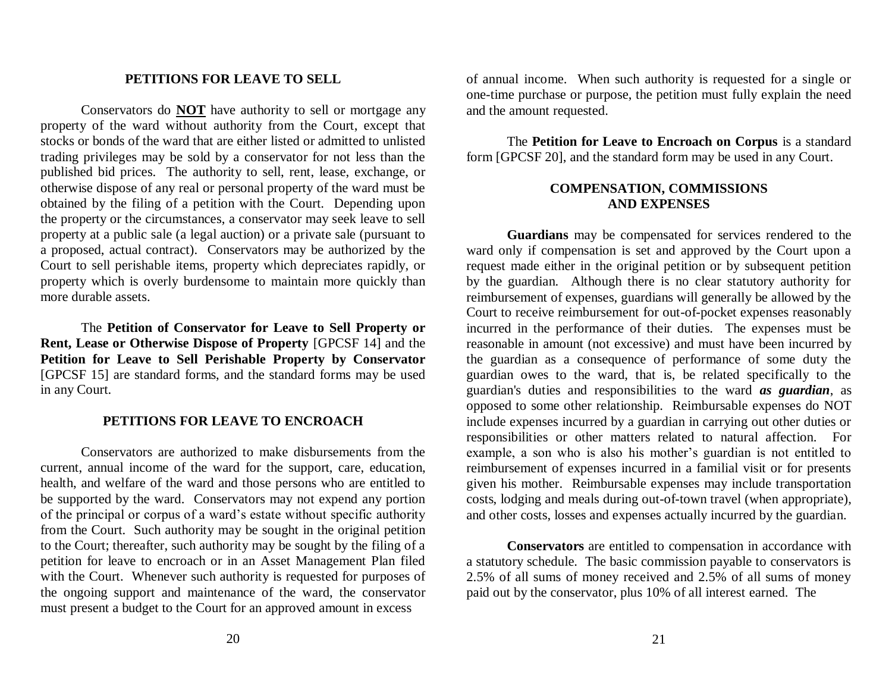### **PETITIONS FOR LEAVE TO SELL**

Conservators do **NOT** have authority to sell or mortgage any property of the ward without authority from the Court, except that stocks or bonds of the ward that are either listed or admitted to unlisted trading privileges may be sold by a conservator for not less than the published bid prices. The authority to sell, rent, lease, exchange, or otherwise dispose of any real or personal property of the ward must be obtained by the filing of a petition with the Court. Depending upon the property or the circumstances, a conservator may seek leave to sell property at a public sale (a legal auction) or a private sale (pursuant to a proposed, actual contract). Conservators may be authorized by the Court to sell perishable items, property which depreciates rapidly, or property which is overly burdensome to maintain more quickly than more durable assets.

The **Petition of Conservator for Leave to Sell Property or Rent, Lease or Otherwise Dispose of Property** [GPCSF 14] and the **Petition for Leave to Sell Perishable Property by Conservator** [GPCSF 15] are standard forms, and the standard forms may be used in any Court.

### **PETITIONS FOR LEAVE TO ENCROACH**

Conservators are authorized to make disbursements from the current, annual income of the ward for the support, care, education, health, and welfare of the ward and those persons who are entitled to be supported by the ward. Conservators may not expend any portion of the principal or corpus of a ward's estate without specific authority from the Court. Such authority may be sought in the original petition to the Court; thereafter, such authority may be sought by the filing of a petition for leave to encroach or in an Asset Management Plan filed with the Court. Whenever such authority is requested for purposes of the ongoing support and maintenance of the ward, the conservator must present a budget to the Court for an approved amount in excess

of annual income. When such authority is requested for a single or one-time purchase or purpose, the petition must fully explain the need and the amount requested.

The **Petition for Leave to Encroach on Corpus** is a standard form [GPCSF 20], and the standard form may be used in any Court.

## **COMPENSATION, COMMISSIONS AND EXPENSES**

**Guardians** may be compensated for services rendered to the ward only if compensation is set and approved by the Court upon a request made either in the original petition or by subsequent petition by the guardian. Although there is no clear statutory authority for reimbursement of expenses, guardians will generally be allowed by the Court to receive reimbursement for out-of-pocket expenses reasonably incurred in the performance of their duties. The expenses must be reasonable in amount (not excessive) and must have been incurred by the guardian as a consequence of performance of some duty the guardian owes to the ward, that is, be related specifically to the guardian's duties and responsibilities to the ward *as guardian*, as opposed to some other relationship. Reimbursable expenses do NOT include expenses incurred by a guardian in carrying out other duties or responsibilities or other matters related to natural affection. For example, a son who is also his mother's guardian is not entitled to reimbursement of expenses incurred in a familial visit or for presents given his mother. Reimbursable expenses may include transportation costs, lodging and meals during out-of-town travel (when appropriate), and other costs, losses and expenses actually incurred by the guardian.

**Conservators** are entitled to compensation in accordance with a statutory schedule. The basic commission payable to conservators is 2.5% of all sums of money received and 2.5% of all sums of money paid out by the conservator, plus 10% of all interest earned. The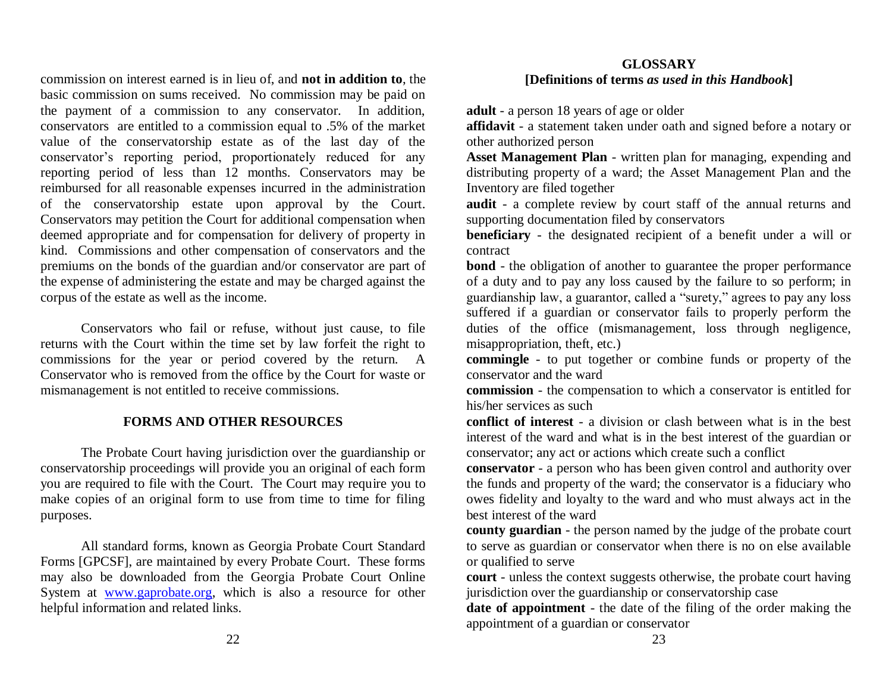commission on interest earned is in lieu of, and **not in addition to**, the basic commission on sums received. No commission may be paid on the payment of a commission to any conservator. In addition, conservators are entitled to a commission equal to .5% of the market value of the conservatorship estate as of the last day of the conservator's reporting period, proportionately reduced for any reporting period of less than 12 months. Conservators may be reimbursed for all reasonable expenses incurred in the administration of the conservatorship estate upon approval by the Court. Conservators may petition the Court for additional compensation when deemed appropriate and for compensation for delivery of property in kind. Commissions and other compensation of conservators and the premiums on the bonds of the guardian and/or conservator are part of the expense of administering the estate and may be charged against the corpus of the estate as well as the income.

Conservators who fail or refuse, without just cause, to file returns with the Court within the time set by law forfeit the right to commissions for the year or period covered by the return. A Conservator who is removed from the office by the Court for waste or mismanagement is not entitled to receive commissions.

## **FORMS AND OTHER RESOURCES**

The Probate Court having jurisdiction over the guardianship or conservatorship proceedings will provide you an original of each form you are required to file with the Court. The Court may require you to make copies of an original form to use from time to time for filing purposes.

All standard forms, known as Georgia Probate Court Standard Forms [GPCSF], are maintained by every Probate Court. These forms may also be downloaded from the Georgia Probate Court Online System at [www.gaprobate.org,](http://www.gaprobate.org/) which is also a resource for other helpful information and related links.

## **GLOSSARY [Definitions of terms** *as used in this Handbook***]**

**adult** - a person 18 years of age or older

**affidavit** - a statement taken under oath and signed before a notary or other authorized person

**Asset Management Plan** - written plan for managing, expending and distributing property of a ward; the Asset Management Plan and the Inventory are filed together

**audit** - a complete review by court staff of the annual returns and supporting documentation filed by conservators

**beneficiary** - the designated recipient of a benefit under a will or contract

**bond** - the obligation of another to guarantee the proper performance of a duty and to pay any loss caused by the failure to so perform; in guardianship law, a guarantor, called a "surety," agrees to pay any loss suffered if a guardian or conservator fails to properly perform the duties of the office (mismanagement, loss through negligence, misappropriation, theft, etc.)

**commingle** - to put together or combine funds or property of the conservator and the ward

**commission** - the compensation to which a conservator is entitled for his/her services as such

**conflict of interest** - a division or clash between what is in the best interest of the ward and what is in the best interest of the guardian or conservator; any act or actions which create such a conflict

**conservator** - a person who has been given control and authority over the funds and property of the ward; the conservator is a fiduciary who owes fidelity and loyalty to the ward and who must always act in the best interest of the ward

**county guardian** - the person named by the judge of the probate court to serve as guardian or conservator when there is no on else available or qualified to serve

**court** - unless the context suggests otherwise, the probate court having jurisdiction over the guardianship or conservatorship case

**date of appointment** - the date of the filing of the order making the appointment of a guardian or conservator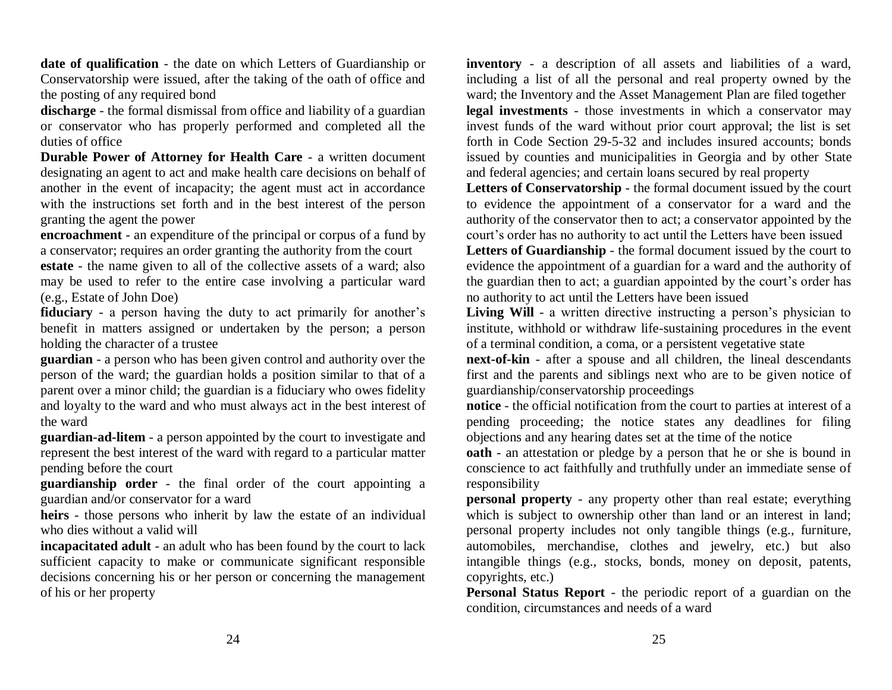**date of qualification** - the date on which Letters of Guardianship or Conservatorship were issued, after the taking of the oath of office and the posting of any required bond

**discharge** - the formal dismissal from office and liability of a guardian or conservator who has properly performed and completed all the duties of office

**Durable Power of Attorney for Health Care** - a written document designating an agent to act and make health care decisions on behalf of another in the event of incapacity; the agent must act in accordance with the instructions set forth and in the best interest of the person granting the agent the power

**encroachment** - an expenditure of the principal or corpus of a fund by a conservator; requires an order granting the authority from the court **estate** - the name given to all of the collective assets of a ward; also may be used to refer to the entire case involving a particular ward (e.g., Estate of John Doe)

**fiduciary** - a person having the duty to act primarily for another's benefit in matters assigned or undertaken by the person; a person holding the character of a trustee

**guardian** - a person who has been given control and authority over the person of the ward; the guardian holds a position similar to that of a parent over a minor child; the guardian is a fiduciary who owes fidelity and loyalty to the ward and who must always act in the best interest of the ward

**guardian-ad-litem** - a person appointed by the court to investigate and represent the best interest of the ward with regard to a particular matter pending before the court

**guardianship order** - the final order of the court appointing a guardian and/or conservator for a ward

**heirs** - those persons who inherit by law the estate of an individual who dies without a valid will

**incapacitated adult** - an adult who has been found by the court to lack sufficient capacity to make or communicate significant responsible decisions concerning his or her person or concerning the management of his or her property

**inventory** - a description of all assets and liabilities of a ward, including a list of all the personal and real property owned by the ward; the Inventory and the Asset Management Plan are filed together **legal investments** - those investments in which a conservator may invest funds of the ward without prior court approval; the list is set forth in Code Section 29-5-32 and includes insured accounts; bonds issued by counties and municipalities in Georgia and by other State and federal agencies; and certain loans secured by real property

Letters of Conservatorship - the formal document issued by the court to evidence the appointment of a conservator for a ward and the authority of the conservator then to act; a conservator appointed by the court's order has no authority to act until the Letters have been issued

**Letters of Guardianship** - the formal document issued by the court to evidence the appointment of a guardian for a ward and the authority of the guardian then to act; a guardian appointed by the court's order has no authority to act until the Letters have been issued

Living Will - a written directive instructing a person's physician to institute, withhold or withdraw life-sustaining procedures in the event of a terminal condition, a coma, or a persistent vegetative state

**next-of-kin** - after a spouse and all children, the lineal descendants first and the parents and siblings next who are to be given notice of guardianship/conservatorship proceedings

**notice** - the official notification from the court to parties at interest of a pending proceeding; the notice states any deadlines for filing objections and any hearing dates set at the time of the notice

**oath** - an attestation or pledge by a person that he or she is bound in conscience to act faithfully and truthfully under an immediate sense of responsibility

**personal property** - any property other than real estate; everything which is subject to ownership other than land or an interest in land; personal property includes not only tangible things (e.g., furniture, automobiles, merchandise, clothes and jewelry, etc.) but also intangible things (e.g., stocks, bonds, money on deposit, patents, copyrights, etc.)

**Personal Status Report** - the periodic report of a guardian on the condition, circumstances and needs of a ward